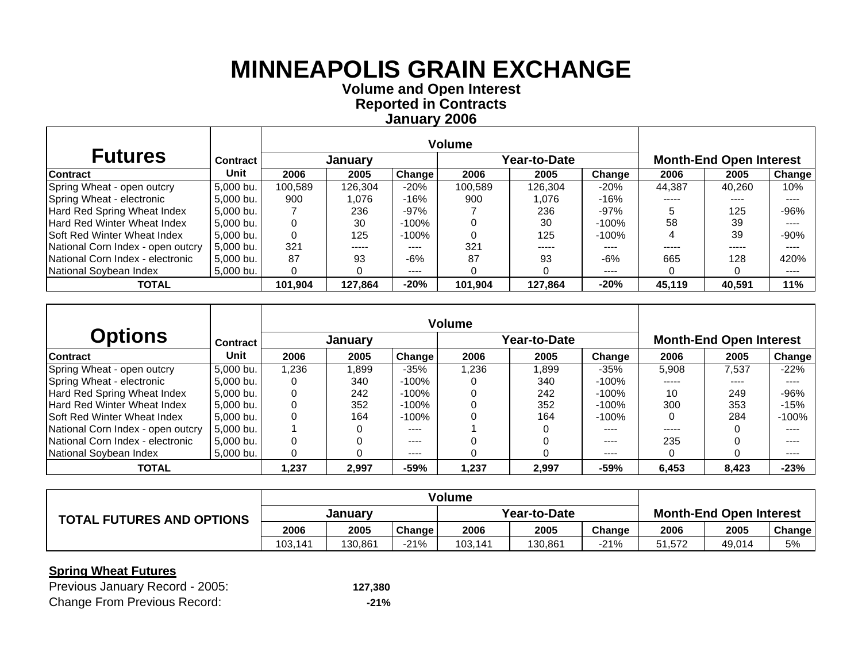**Volume and Open Interest Reported in Contracts January 2006**

| <b>Futures</b>                     | <b>Contract</b> |         | January |           |         | Year-to-Date | <b>Month-End Open Interest</b> |        |        |                            |
|------------------------------------|-----------------|---------|---------|-----------|---------|--------------|--------------------------------|--------|--------|----------------------------|
| <b>Contract</b>                    | Unit            | 2006    | 2005    | Change    | 2006    | 2005         | Change                         | 2006   | 2005   | <b>Change</b>              |
| Spring Wheat - open outcry         | 5.000 bu.       | 100.589 | 126.304 | $-20%$    | 100.589 | 126.304      | $-20%$                         | 44.387 | 40.260 | 10%                        |
| Spring Wheat - electronic          | 5,000 bu.       | 900     | 1.076   | $-16%$    | 900     | 1,076        | $-16%$                         | -----  | ----   | ----                       |
| Hard Red Spring Wheat Index        | 5,000 bu.       |         | 236     | $-97%$    |         | 236          | $-97%$                         | 5      | 125    | $-96%$                     |
| Hard Red Winter Wheat Index        | 5.000 bu.       |         | 30      | -100%     |         | 30           | $-100\%$                       | 58     | 39     | $- - - -$                  |
| <b>Soft Red Winter Wheat Index</b> | 5,000 bu.       |         | 125     | -100%     |         | 125          | -100%                          |        | 39     | $-90%$                     |
| National Corn Index - open outcry  | 5.000 bu.       | 321     | -----   | ----      | 321     | -----        | ----                           |        |        | ----                       |
| National Corn Index - electronic   | 5,000 bu.       | 87      | 93      | -6%       | 87      | 93           | -6%                            | 665    | 128    | 420%                       |
| National Sovbean Index             | 5,000 bu.       |         |         | $- - - -$ |         |              | $---$                          |        |        | $\qquad \qquad - \qquad -$ |
| <b>TOTAL</b>                       |                 | 101.904 | 127.864 | $-20%$    | 101.904 | 127.864      | $-20%$                         | 45,119 | 40.591 | 11%                        |

|                                    |                 |       |         |         | <b>Volume</b> |              |          |          |                                |           |
|------------------------------------|-----------------|-------|---------|---------|---------------|--------------|----------|----------|--------------------------------|-----------|
| <b>Options</b>                     | <b>Contract</b> |       | January |         |               | Year-to-Date |          |          | <b>Month-End Open Interest</b> |           |
| Contract                           | Unit            | 2006  | 2005    | Change  | 2006          | 2005         | Change   | 2006     | 2005                           | Change    |
| Spring Wheat - open outcry         | 5,000 bu.       | 1.236 | 1.899   | $-35%$  | 1.236         | 899. ا       | $-35%$   | 5.908    | 7.537                          | $-22%$    |
| Spring Wheat - electronic          | 5.000 bu.       |       | 340     | -100%   |               | 340          | $-100\%$ | -----    | ----                           | ----      |
| Hard Red Spring Wheat Index        | 5.000 bu.       |       | 242     | -100%   |               | 242          | $-100%$  | 10       | 249                            | $-96%$    |
| <b>Hard Red Winter Wheat Index</b> | 5.000 bu.       |       | 352     | -100%   |               | 352          | $-100%$  | 300      | 353                            | -15%      |
| <b>Soft Red Winter Wheat Index</b> | 5.000 bu.       |       | 164     | $-100%$ |               | 164          | $-100%$  | $\Omega$ | 284                            | $-100%$   |
| National Corn Index - open outcry  | 5.000 bu.       |       | 0       | ----    |               |              | ----     | -----    |                                | ----      |
| National Corn Index - electronic   | 5.000 bu.       |       |         | ----    |               |              | ----     | 235      |                                | ----      |
| National Soybean Index             | 5.000 bu.       |       | ი       | ----    |               |              | $\cdots$ |          |                                | $- - - -$ |
| <b>TOTAL</b>                       |                 | 1,237 | 2,997   | $-59%$  | 1,237         | 2,997        | $-59%$   | 6,453    | 8,423                          | $-23%$    |

|                                  | <b>Volume</b> |         |        |         |              |                                |            |        |        |
|----------------------------------|---------------|---------|--------|---------|--------------|--------------------------------|------------|--------|--------|
| <b>TOTAL FUTURES AND OPTIONS</b> | Januarv       |         |        |         | Year-to-Date | <b>Month-End Open Interest</b> |            |        |        |
|                                  | 2006          | 2005    | Change | 2006    | 2005         | Change                         | 2006       | 2005   | Change |
|                                  | 103,141       | 130.861 | $-21%$ | 103,141 | 130.861      | -21%                           | .572<br>51 | 49.014 | 5%     |

| Previous January Record - 2005:     | 127,380 |
|-------------------------------------|---------|
| <b>Change From Previous Record:</b> | $-21%$  |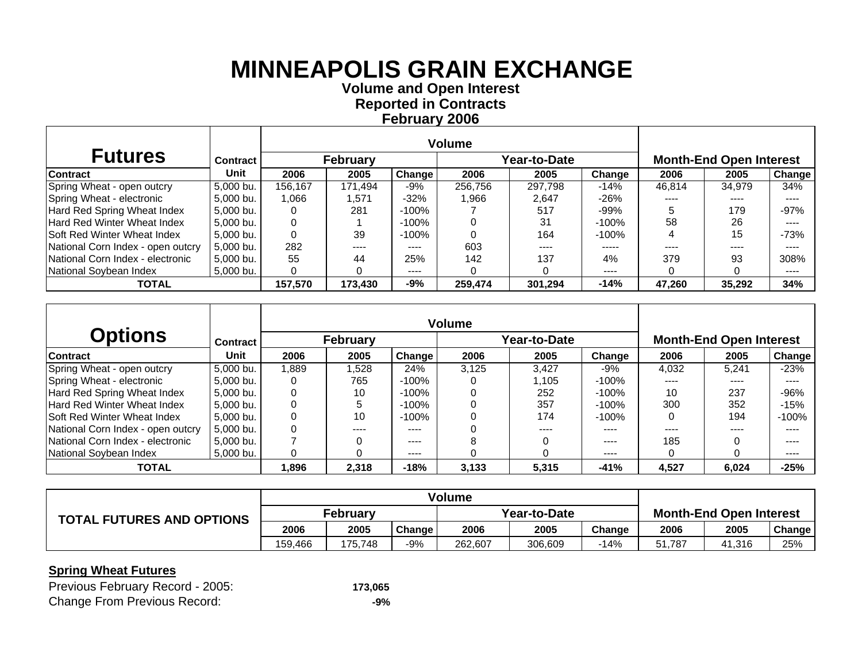**Volume and O pen Interest Re ported in Contracts Februar y 2006**

| <b>Futures</b>                     | <b>Contract</b> |         | <b>February</b> |        |         | <b>Year-to-Date</b> | <b>Month-End Open Interest</b> |        |        |                            |
|------------------------------------|-----------------|---------|-----------------|--------|---------|---------------------|--------------------------------|--------|--------|----------------------------|
| <b>Contract</b>                    | Unit            | 2006    | 2005            | Change | 2006    | 2005                | Change                         | 2006   | 2005   | <b>Change</b>              |
| Spring Wheat - open outcry         | 5.000 bu.       | 156.167 | 171.494         | $-9%$  | 256.756 | 297.798             | $-14%$                         | 46.814 | 34,979 | 34%                        |
| Spring Wheat - electronic          | 5,000 bu.       | 1,066   | 571. ا          | $-32%$ | .966    | 2.647               | -26%                           | ----   | ----   | ----                       |
| Hard Red Spring Wheat Index        | 5,000 bu.       |         | 281             | -100%  |         | 517                 | $-99\%$                        |        | 179    | $-97%$                     |
| Hard Red Winter Wheat Index        | 5,000 bu.       |         |                 | -100%  |         | 31                  | -100%                          | 58     | 26     | $---$                      |
| <b>Soft Red Winter Wheat Index</b> | 5,000 bu.       |         | 39              | -100%  |         | 164                 | -100%                          |        | 15     | $-73%$                     |
| National Corn Index - open outcry  | 5,000 bu.       | 282     | ----            | ----   | 603     | ----                | -----                          | ----   | ----   | ----                       |
| National Corn Index - electronic   | 5,000 bu.       | 55      | 44              | 25%    | 142     | 137                 | 4%                             | 379    | 93     | 308%                       |
| National Soybean Index             | 5,000 bu.       |         |                 | ----   |         |                     | $\cdots$                       |        |        | $\qquad \qquad - \qquad -$ |
| <b>TOTAL</b>                       |                 | 157,570 | 173,430         | -9%    | 259,474 | 301,294             | $-14%$                         | 47,260 | 35,292 | 34%                        |

|                                    |           |       |          |          | <b>Volume</b> |              |          |       |                                |                                      |
|------------------------------------|-----------|-------|----------|----------|---------------|--------------|----------|-------|--------------------------------|--------------------------------------|
| <b>Options</b>                     | Contract  |       | February |          |               | Year-to-Date |          |       | <b>Month-End Open Interest</b> |                                      |
| <b>Contract</b>                    | Unit      | 2006  | 2005     | Change   | 2006          | 2005         | Change   | 2006  | 2005                           | <b>Change</b>                        |
| Spring Wheat - open outcry         | 5,000 bu. | 1.889 | .528     | 24%      | 3.125         | 3,427        | -9%      | 4.032 | 5.241                          | $-23%$                               |
| Spring Wheat - electronic          | 5,000 bu. |       | 765      | -100%    |               | 1.105        | $-100%$  | ----  | ----                           | ----                                 |
| Hard Red Spring Wheat Index        | 5.000 bu. |       | 10       | -100%    |               | 252          | -100%    | 10    | 237                            | $-96%$                               |
| Hard Red Winter Wheat Index        | 5.000 bu. |       | 5        | -100%    |               | 357          | -100%    | 300   | 352                            | $-15%$                               |
| <b>Soft Red Winter Wheat Index</b> | 5.000 bu. |       | 10       | -100%    |               | 174          | $-100%$  | 0     | 194                            | $-100%$                              |
| National Corn Index - open outcry  | 5.000 bu. |       | ----     | ----     |               | ----         | ----     |       |                                | ----                                 |
| National Corn Index - electronic   | 5.000 bu. |       |          | ----     |               |              | ----     | 185   |                                | ----                                 |
| National Soybean Index             | 5.000 bu. |       |          | $\cdots$ |               |              | $\cdots$ |       |                                | $\qquad \qquad \cdots \qquad \qquad$ |
| <b>TOTAL</b>                       |           | 1,896 | 2,318    | $-18%$   | 3,133         | 5,315        | $-41%$   | 4,527 | 6,024                          | $-25%$                               |

|                                  | <b>Volume</b>   |         |        |         |              |                                |        |        |               |
|----------------------------------|-----------------|---------|--------|---------|--------------|--------------------------------|--------|--------|---------------|
| <b>TOTAL FUTURES AND OPTIONS</b> | <b>February</b> |         |        |         | Year-to-Date | <b>Month-End Open Interest</b> |        |        |               |
|                                  | 2006            | 2005    | Change | 2006    | 2005         | Change                         | 2006   | 2005   | <b>Change</b> |
|                                  | 159.466         | 175.748 | $-9%$  | 262,607 | 306.609      | $-14%$                         | 51.787 | 41,316 | 25%           |

| Previous February Record - 2005:    | 173,065 |
|-------------------------------------|---------|
| <b>Change From Previous Record:</b> | -9%     |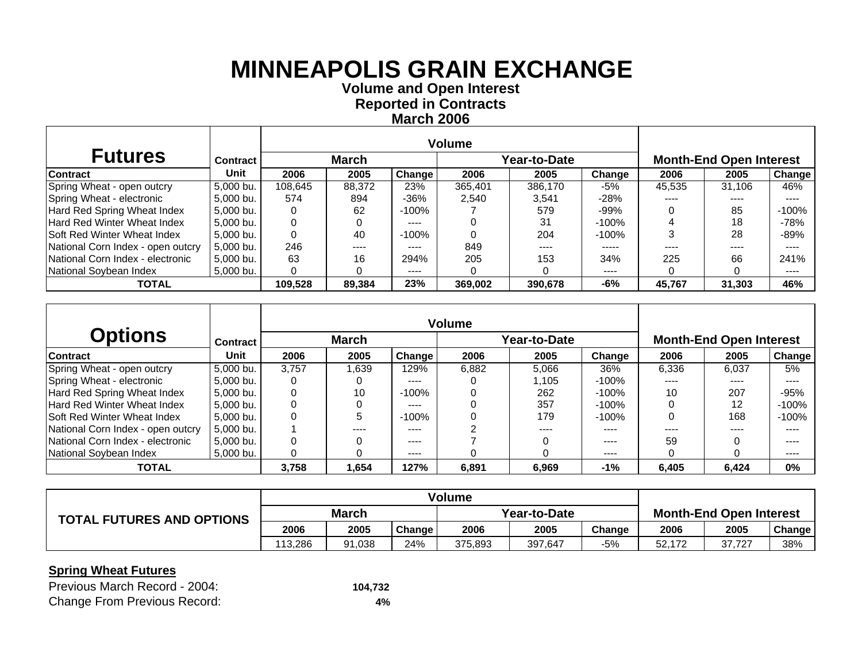**Volume and O pen Interest Re ported in Contracts March 2006**

| <b>Futures</b>                     | <b>Contract</b> |         | <b>March</b> |           |         | Year-to-Date | <b>Month-End Open Interest</b> |        |        |         |
|------------------------------------|-----------------|---------|--------------|-----------|---------|--------------|--------------------------------|--------|--------|---------|
| <b>Contract</b>                    | Unit            | 2006    | 2005         | Change    | 2006    | 2005         | Change                         | 2006   | 2005   | Change  |
| Spring Wheat - open outcry         | 5.000 bu.       | 108.645 | 88,372       | 23%       | 365.401 | 386,170      | -5%                            | 45,535 | 31.106 | 46%     |
| Spring Wheat - electronic          | 5,000 bu.       | 574     | 894          | $-36%$    | 2.540   | 3,541        | -28%                           |        |        |         |
| Hard Red Spring Wheat Index        | 5,000 bu.       |         | 62           | -100%     |         | 579          | $-99%$                         |        | 85     | $-100%$ |
| Hard Red Winter Wheat Index        | 5,000 bu.       |         |              | $- - - -$ |         | 31           | $-100\%$                       |        | 18     | -78%    |
| <b>Soft Red Winter Wheat Index</b> | 5,000 bu.       |         | 40           | -100%     |         | 204          | $-100\%$                       |        | 28     | -89%    |
| National Corn Index - open outcry  | 5.000 bu.       | 246     | ----         | ----      | 849     | ----         | -----                          | ----   | ----   | ----    |
| National Corn Index - electronic   | 5,000 bu.       | 63      | 16           | 294%      | 205     | 153          | 34%                            | 225    | 66     | 241%    |
| National Soybean Index             | 5,000 bu.       |         |              | ----      |         |              | $- - - -$                      |        |        | ----    |
| <b>TOTAL</b>                       |                 | 109,528 | 89,384       | 23%       | 369,002 | 390,678      | -6%                            | 45,767 | 31,303 | 46%     |

|                                    |                 |       |              |          | <b>Volume</b> |              |          |                                |       |                                      |
|------------------------------------|-----------------|-------|--------------|----------|---------------|--------------|----------|--------------------------------|-------|--------------------------------------|
| <b>Options</b>                     | <b>Contract</b> |       | <b>March</b> |          |               | Year-to-Date |          | <b>Month-End Open Interest</b> |       |                                      |
| <b>Contract</b>                    | Unit            | 2006  | 2005         | Change   | 2006          | 2005         | Change   | 2006                           | 2005  | Change                               |
| Spring Wheat - open outcry         | 5,000 bu.       | 3.757 | .639         | 129%     | 6,882         | 5.066        | 36%      | 6.336                          | 6.037 | 5%                                   |
| Spring Wheat - electronic          | 5,000 bu.       |       |              | ----     |               | 1.105        | $-100\%$ | ----                           | ----  | ----                                 |
| Hard Red Spring Wheat Index        | 5.000 bu.       |       | 10           | -100%    |               | 262          | -100%    | 10                             | 207   | $-95%$                               |
| Hard Red Winter Wheat Index        | 5.000 bu.       |       |              | ----     |               | 357          | -100%    |                                | 12    | $-100%$                              |
| <b>Soft Red Winter Wheat Index</b> | 5.000 bu.       |       | 5            | -100%    |               | 179          | $-100%$  | 0                              | 168   | $-100%$                              |
| National Corn Index - open outcry  | 5.000 bu.       |       |              | ----     |               | ----         | ----     |                                |       | ----                                 |
| National Corn Index - electronic   | 5.000 bu.       |       |              | ----     |               |              | ----     | 59                             |       | ----                                 |
| National Soybean Index             | 5.000 bu.       |       |              | $\cdots$ |               |              | $\cdots$ |                                |       | $\qquad \qquad \cdots \qquad \qquad$ |
| <b>TOTAL</b>                       |                 | 3,758 | 1,654        | 127%     | 6,891         | 6,969        | $-1%$    | 6,405                          | 6,424 | $0\%$                                |

|                                  | <b>Volume</b> |        |               |         |              |                                |        |        |        |
|----------------------------------|---------------|--------|---------------|---------|--------------|--------------------------------|--------|--------|--------|
| <b>TOTAL FUTURES AND OPTIONS</b> | <b>March</b>  |        |               |         | Year-to-Date | <b>Month-End Open Interest</b> |        |        |        |
|                                  | 2006          | 2005   | <b>Change</b> | 2006    | 2005         | Change                         | 2006   | 2005   | Change |
|                                  | 113.286       | 91.038 | 24%           | 375.893 | 397,647      | $-5%$                          | 52.172 | 37.727 | 38%    |

| Previous March Record - 2004:       | 104,732 |
|-------------------------------------|---------|
| <b>Change From Previous Record:</b> | 4%      |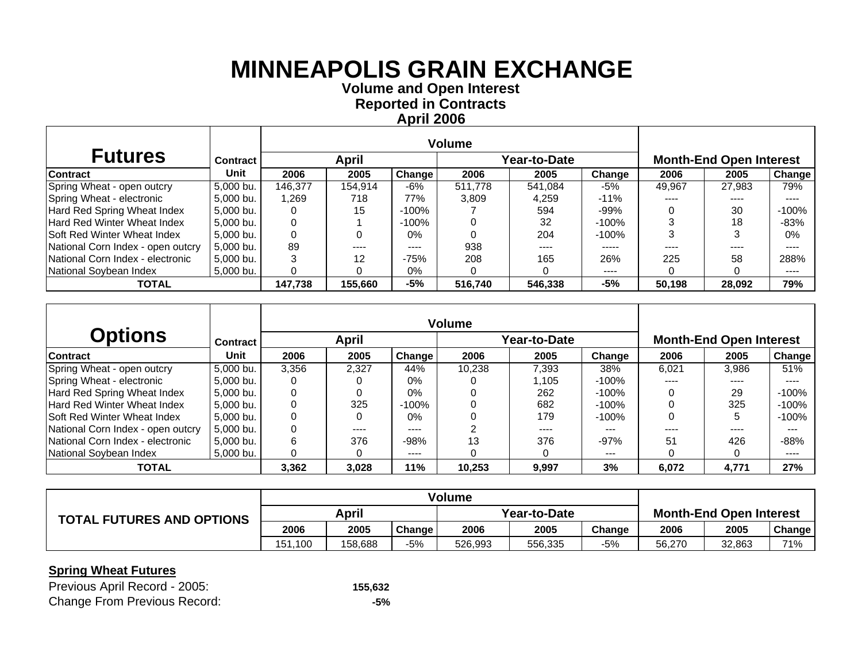**Volume and O pen Interest Re ported in Contracts April 2006**

| <b>Futures</b>                     | <b>Contract</b> |         | <b>April</b> |          |         | Year-to-Date | <b>Month-End Open Interest</b> |        |        |               |
|------------------------------------|-----------------|---------|--------------|----------|---------|--------------|--------------------------------|--------|--------|---------------|
| <b>Contract</b>                    | Unit            | 2006    | 2005         | Change   | 2006    | 2005         | Change                         | 2006   | 2005   | <b>Change</b> |
| Spring Wheat - open outcry         | 5.000 bu.       | 146.377 | 154.914      | -6%      | 511.778 | 541.084      | -5%                            | 49.967 | 27.983 | 79%           |
| Spring Wheat - electronic          | 5,000 bu.       | 1.269   | 718          | 77%      | 3.809   | 4,259        | $-11\%$                        | ----   | ----   | ----          |
| Hard Red Spring Wheat Index        | 5,000 bu.       |         | 15           | -100%    |         | 594          | -99%                           |        | 30     | $-100%$       |
| Hard Red Winter Wheat Index        | 5.000 bu.       |         |              | $-100\%$ |         | 32           | $-100\%$                       |        | 18     | $-83%$        |
| <b>Soft Red Winter Wheat Index</b> | 5,000 bu.       |         | O            | $0\%$    |         | 204          | $-100\%$                       |        |        | $0\%$         |
| National Corn Index - open outcry  | 5.000 bu.       | 89      | ----         | ----     | 938     | ----         | -----                          |        | ----   | ----          |
| National Corn Index - electronic   | 5,000 bu.       |         | 12           | $-75%$   | 208     | 165          | 26%                            | 225    | 58     | 288%          |
| National Soybean Index             | 5,000 bu.       |         |              | 0%       |         |              | $- - - -$                      |        |        | ----          |
| <b>TOTAL</b>                       |                 | 147,738 | 155,660      | -5%      | 516,740 | 546,338      | -5%                            | 50,198 | 28,092 | 79%           |

|                                     |           |       |       |        | <b>Volume</b> |              |          |                                |       |         |
|-------------------------------------|-----------|-------|-------|--------|---------------|--------------|----------|--------------------------------|-------|---------|
| <b>Options</b>                      | Contract  |       | April |        |               | Year-to-Date |          | <b>Month-End Open Interest</b> |       |         |
| <b>Contract</b>                     | Unit      | 2006  | 2005  | Change | 2006          | 2005         | Change   | 2006                           | 2005  | Change  |
| Spring Wheat - open outcry          | 5.000 bu. | 3.356 | 2.327 | 44%    | 10.238        | 7,393        | 38%      | 6.021                          | 3.986 | 51%     |
| Spring Wheat - electronic           | 5,000 bu. |       |       | $0\%$  |               | 1.105        | $-100\%$ | ----                           | ----  | ----    |
| Hard Red Spring Wheat Index         | 5.000 bu. |       |       | $0\%$  |               | 262          | -100%    | $\Omega$                       | 29    | $-100%$ |
| Hard Red Winter Wheat Index         | 5.000 bu. |       | 325   | -100%  |               | 682          | $-100\%$ |                                | 325   | $-100%$ |
| <b>ISoft Red Winter Wheat Index</b> | 5,000 bu. |       |       | $0\%$  |               | 179          | $-100\%$ |                                |       | $-100%$ |
| National Corn Index - open outcry   | 5.000 bu. |       | ----  | ----   |               | ----         | $- - -$  | ----                           | ----  | ---     |
| National Corn Index - electronic    | 5.000 bu. |       | 376   | $-98%$ | 13            | 376          | $-97%$   | 51                             | 426   | $-88%$  |
| National Soybean Index              | 5.000 bu. |       |       | ----   |               |              | $--$     |                                |       | ----    |
| <b>TOTAL</b>                        |           | 3,362 | 3,028 | 11%    | 10,253        | 9,997        | 3%       | 6,072                          | 4,771 | 27%     |

|                                  | <b>Volume</b> |         |        |              |         |        |                                |        |                     |
|----------------------------------|---------------|---------|--------|--------------|---------|--------|--------------------------------|--------|---------------------|
| <b>TOTAL FUTURES AND OPTIONS</b> | April         |         |        | Year-to-Date |         |        | <b>Month-End Open Interest</b> |        |                     |
|                                  | 2006          | 2005    | Change | 2006         | 2005    | Change | 2006                           | 2005   | Change <sub>1</sub> |
|                                  | 151.100       | 158.688 | -5%    | 526,993      | 556.335 | -5%    | 56.270                         | 32,863 | 71%                 |

| Previous April Record - 2005:       | 155,632 |
|-------------------------------------|---------|
| <b>Change From Previous Record:</b> | -5%     |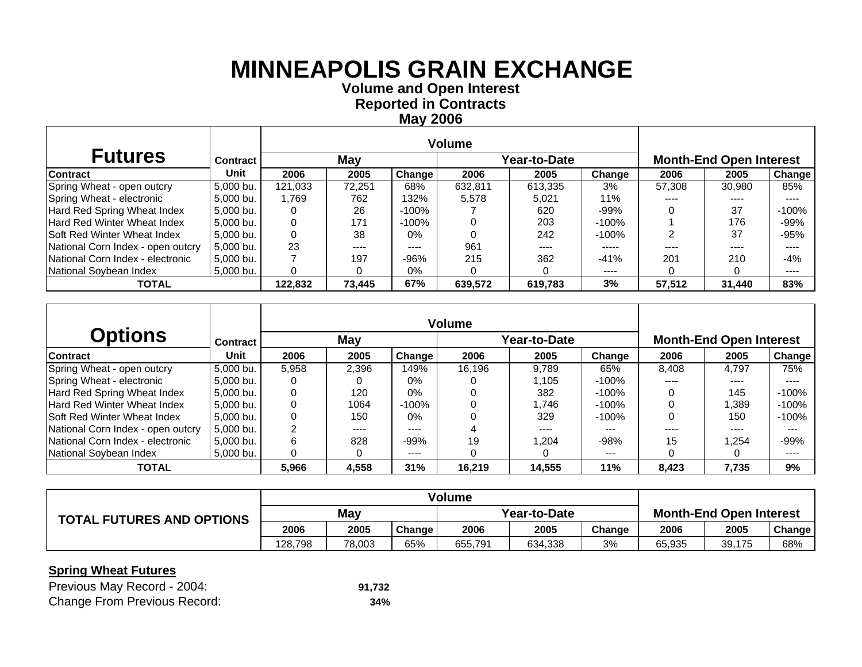**Volume and O pen Interest Re ported in Contracts Ma y 2006**

| <b>Futures</b>                    | <b>Contract</b> |         | May    |        |         | Year-to-Date | <b>Month-End Open Interest</b> |        |        |               |
|-----------------------------------|-----------------|---------|--------|--------|---------|--------------|--------------------------------|--------|--------|---------------|
| <b>Contract</b>                   | Unit            | 2006    | 2005   | Change | 2006    | 2005         | Change                         | 2006   | 2005   | <b>Change</b> |
| Spring Wheat - open outcry        | 5.000 bu.       | 121.033 | 72.251 | 68%    | 632.811 | 613.335      | 3%                             | 57,308 | 30,980 | 85%           |
| Spring Wheat - electronic         | 5,000 bu.       | 1.769   | 762    | 132%   | 5.578   | 5.021        | 11%                            | ----   | ----   | ----          |
| Hard Red Spring Wheat Index       | 5.000 bu.       |         | 26     | -100%  |         | 620          | $-99%$                         |        | 37     | $-100\%$      |
| Hard Red Winter Wheat Index       | 5.000 bu.       |         | 171    | -100%  |         | 203          | -100%                          |        | 176    | $-99%$        |
| Soft Red Winter Wheat Index       | 5.000 bu.       |         | 38     | $0\%$  |         | 242          | $-100%$                        |        | 37     | $-95%$        |
| National Corn Index - open outcry | 5.000 bu.       | 23      | $---$  | ----   | 961     | ----         | -----                          | ----   | ----   | ----          |
| National Corn Index - electronic  | 5,000 bu.       |         | 197    | $-96%$ | 215     | 362          | $-41%$                         | 201    | 210    | $-4%$         |
| National Soybean Index            | 5.000 bu.       |         |        | 0%     |         |              | $\cdots$                       |        |        | ----          |
| <b>TOTAL</b>                      |                 | 122.832 | 73,445 | 67%    | 639,572 | 619,783      | 3%                             | 57,512 | 31,440 | 83%           |

|                                    |                 |       |       |        | <b>Volume</b> |              |          |                                |       |         |  |
|------------------------------------|-----------------|-------|-------|--------|---------------|--------------|----------|--------------------------------|-------|---------|--|
| <b>Options</b>                     | <b>Contract</b> |       | May   |        |               | Year-to-Date |          | <b>Month-End Open Interest</b> |       |         |  |
| <b>Contract</b>                    | Unit            | 2006  | 2005  | Change | 2006          | 2005         | Change   | 2006                           | 2005  | Change  |  |
| Spring Wheat - open outcry         | 5,000 bu.       | 5.958 | 2.396 | 149%   | 16.196        | 9.789        | 65%      | 8.408                          | 4.797 | 75%     |  |
| Spring Wheat - electronic          | 5,000 bu.       |       |       | $0\%$  |               | 1.105        | $-100\%$ | ----                           | ----  | ----    |  |
| Hard Red Spring Wheat Index        | 5.000 bu.       |       | 120   | $0\%$  |               | 382          | -100%    |                                | 145   | $-100%$ |  |
| Hard Red Winter Wheat Index        | 5,000 bu.       |       | 1064  | -100%  |               | .746         | -100%    |                                | ,389  | $-100%$ |  |
| <b>Soft Red Winter Wheat Index</b> | 5,000 bu.       |       | 150   | $0\%$  |               | 329          | $-100%$  |                                | 150   | $-100%$ |  |
| National Corn Index - open outcry  | 5.000 bu.       | ⌒     | ----  | ----   |               | $- - - -$    | $- - -$  | ----                           | ----  | $- - -$ |  |
| National Corn Index - electronic   | 5.000 bu.       | 6     | 828   | $-99%$ | 19            | 204. ا       | $-98%$   | 15                             | .254  | $-99%$  |  |
| National Soybean Index             | 5.000 bu.       | 0     | 0     | ----   |               |              | $--$     |                                |       | ----    |  |
| <b>TOTAL</b>                       |                 | 5,966 | 4,558 | 31%    | 16,219        | 14,555       | 11%      | 8,423                          | 7,735 | 9%      |  |

|                                  | <b>Volume</b> |        |        |              |         |        |                                |        |                     |
|----------------------------------|---------------|--------|--------|--------------|---------|--------|--------------------------------|--------|---------------------|
| <b>TOTAL FUTURES AND OPTIONS</b> | May           |        |        | Year-to-Date |         |        | <b>Month-End Open Interest</b> |        |                     |
|                                  | 2006          | 2005   | Change | 2006         | 2005    | Change | 2006                           | 2005   | Change <sub>1</sub> |
|                                  | 128.798       | 78.003 | 65%    | 655,791      | 634,338 | 3%     | 65.935                         | 39,175 | 68%                 |

| Previous May Record - 2004:         | 91.732 |
|-------------------------------------|--------|
| <b>Change From Previous Record:</b> | 34%    |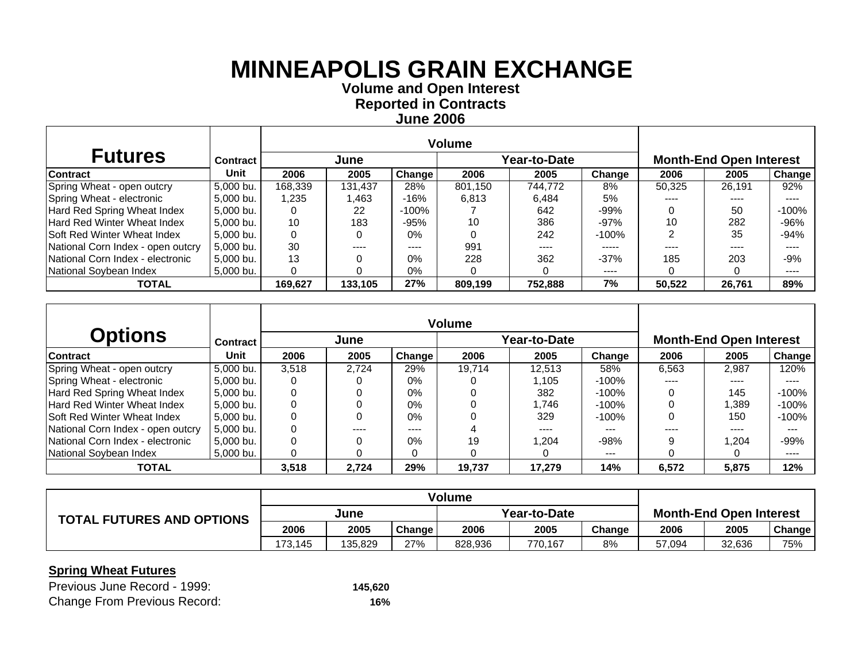**Volume and O pen Interest Re ported in Contracts June 2006**

| <b>Futures</b>                     | <b>Contract</b> |         | June    |               |         | Year-to-Date | <b>Month-End Open Interest</b> |        |        |          |
|------------------------------------|-----------------|---------|---------|---------------|---------|--------------|--------------------------------|--------|--------|----------|
| <b>Contract</b>                    | Unit            | 2006    | 2005    | <b>Change</b> | 2006    | 2005         | Change                         | 2006   | 2005   | Change   |
| Spring Wheat - open outcry         | 5,000 bu.       | 168,339 | 131.437 | 28%           | 801.150 | 744.772      | 8%                             | 50,325 | 26.191 | 92%      |
| Spring Wheat - electronic          | 5,000 bu.       | 1,235   | .463    | -16%          | 6.813   | 6,484        | 5%                             |        | ----   |          |
| Hard Red Spring Wheat Index        | 5,000 bu.       |         | 22      | -100%         |         | 642          | $-99%$                         |        | 50     | $-100\%$ |
| <b>Hard Red Winter Wheat Index</b> | 5,000 bu.       | 10      | 183     | $-95%$        | 10      | 386          | $-97%$                         | 10     | 282    | $-96%$   |
| <b>Soft Red Winter Wheat Index</b> | 5,000 bu.       |         | O       | $0\%$         |         | 242          | $-100\%$                       |        | 35     | $-94%$   |
| National Corn Index - open outcry  | 5,000 bu.       | 30      | ----    | ----          | 991     | $- - - -$    | -----                          |        | ----   | ----     |
| National Corn Index - electronic   | 5,000 bu.       | 13      |         | $0\%$         | 228     | 362          | $-37%$                         | 185    | 203    | $-9%$    |
| National Soybean Index             | 5,000 bu.       |         |         | $0\%$         |         |              | $\cdots$                       |        |        | ----     |
| <b>TOTAL</b>                       |                 | 169,627 | 133,105 | 27%           | 809,199 | 752,888      | 7%                             | 50,522 | 26,761 | 89%      |

|                                    |                 |       |       |        | <b>Volume</b> |              |         |                                |        |         |
|------------------------------------|-----------------|-------|-------|--------|---------------|--------------|---------|--------------------------------|--------|---------|
| <b>Options</b>                     | <b>Contract</b> |       | June  |        |               | Year-to-Date |         | <b>Month-End Open Interest</b> |        |         |
| <b>Contract</b>                    | Unit            | 2006  | 2005  | Change | 2006          | 2005         | Change  | 2006                           | 2005   | Change  |
| Spring Wheat - open outcry         | 5,000 bu.       | 3.518 | 2.724 | 29%    | 19.714        | 12.513       | 58%     | 6.563                          | 2.987  | 120%    |
| Spring Wheat - electronic          | 5,000 bu.       |       |       | 0%     |               | l.105        | -100%   | ----                           | ----   |         |
| Hard Red Spring Wheat Index        | 5.000 bu.       |       | 0     | $0\%$  |               | 382          | -100%   |                                | 145    | $-100%$ |
| Hard Red Winter Wheat Index        | 5,000 bu.       |       | 0     | 0%     |               | .746         | -100%   |                                | ,389   | $-100%$ |
| <b>Soft Red Winter Wheat Index</b> | 5,000 bu.       |       | 0     | $0\%$  |               | 329          | $-100%$ |                                | 150    | $-100%$ |
| National Corn Index - open outcry  | 5.000 bu.       |       | ----  | ----   |               | $- - - -$    | $- - -$ |                                | ----   | $- - -$ |
| National Corn Index - electronic   | 5.000 bu.       |       | 0     | $0\%$  | 19            | 204. ا       | $-98%$  | q                              | 204. ا | $-99%$  |
| National Soybean Index             | 5.000 bu.       |       | 0     |        |               |              | $--$    |                                |        | ----    |
| <b>TOTAL</b>                       |                 | 3,518 | 2.724 | 29%    | 19,737        | 17,279       | 14%     | 6,572                          | 5,875  | 12%     |

|                                  | <b>Volume</b> |         |        |              |         |        |                                |        |                     |
|----------------------------------|---------------|---------|--------|--------------|---------|--------|--------------------------------|--------|---------------------|
| <b>TOTAL FUTURES AND OPTIONS</b> | June          |         |        | Year-to-Date |         |        | <b>Month-End Open Interest</b> |        |                     |
|                                  | 2006          | 2005    | Change | 2006         | 2005    | Change | 2006                           | 2005   | Change <sub>1</sub> |
|                                  | 173.145       | 135.829 | 27%    | 828,936      | 770.167 | 8%     | 57.094                         | 32,636 | 75%                 |

| Previous June Record - 1999:        | 145,620 |
|-------------------------------------|---------|
| <b>Change From Previous Record:</b> | 16%     |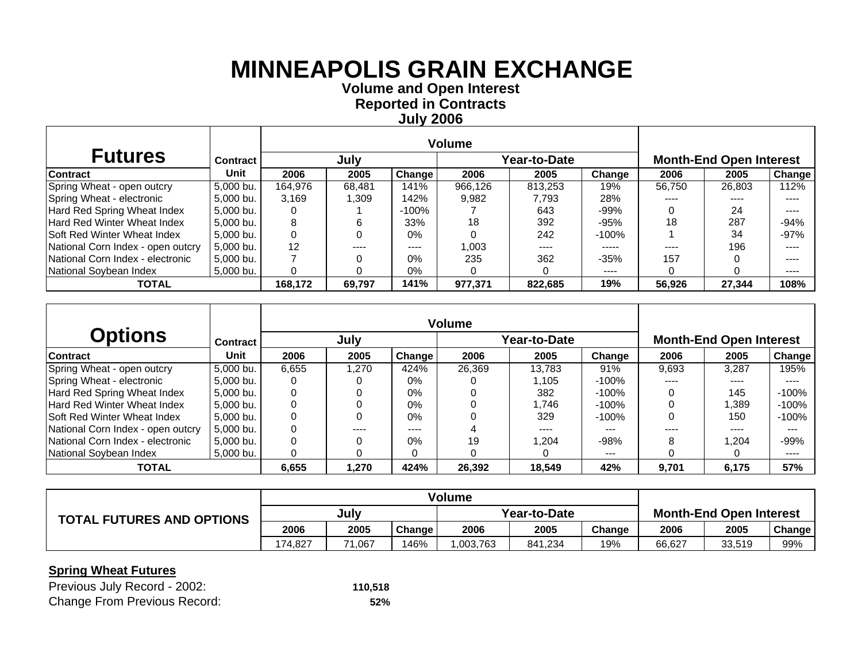**Volume and O pen Interest Re ported in Contracts Jul y 2006**

| <b>Futures</b>                    | <b>Contract</b> |         | July   |        |         | Year-to-Date |           |        | <b>Month-End Open Interest</b> |        |
|-----------------------------------|-----------------|---------|--------|--------|---------|--------------|-----------|--------|--------------------------------|--------|
| <b>Contract</b>                   | Unit            | 2006    | 2005   | Change | 2006    | 2005         | Change    | 2006   | 2005                           | Change |
| Spring Wheat - open outcry        | 5.000 bu.       | 164.976 | 68.481 | 141%   | 966.126 | 813.253      | 19%       | 56.750 | 26,803                         | 12%    |
| Spring Wheat - electronic         | 5.000 bu.       | 3,169   | .309   | 142%   | 9,982   | 7.793        | 28%       |        |                                | ----   |
| Hard Red Spring Wheat Index       | 5.000 bu.       |         |        | -100%  |         | 643          | $-99%$    |        | 24                             | ----   |
| Hard Red Winter Wheat Index       | 5.000 bu.       | 8       | 6      | 33%    | 18      | 392          | $-95%$    | 18     | 287                            | $-94%$ |
| Soft Red Winter Wheat Index       | 5.000 bu.       |         |        | $0\%$  |         | 242          | $-100\%$  |        | 34                             | $-97%$ |
| National Corn Index - open outcry | 5.000 bu.       | 12      | ----   | ----   | 1,003   | ----         | -----     | ----   | 196                            | ----   |
| National Corn Index - electronic  | 5.000 bu.       |         |        | $0\%$  | 235     | 362          | $-35%$    | 157    |                                | ----   |
| National Soybean Index            | 5.000 bu.       |         |        | 0%     |         |              | $- - - -$ |        |                                | ----   |
| <b>TOTAL</b>                      |                 | 168,172 | 69,797 | 141%   | 977,371 | 822,685      | 19%       | 56,926 | 27,344                         | 108%   |

|                                    |                 |       |        |        | Volume |              |          |       |                                |         |
|------------------------------------|-----------------|-------|--------|--------|--------|--------------|----------|-------|--------------------------------|---------|
| <b>Options</b>                     | <b>Contract</b> |       | July   |        |        | Year-to-Date |          |       | <b>Month-End Open Interest</b> |         |
| <b>Contract</b>                    | Unit            | 2006  | 2005   | Change | 2006   | 2005         | Change   | 2006  | 2005                           | Change  |
| Spring Wheat - open outcry         | 5,000 bu.       | 6.655 | 270. ا | 424%   | 26.369 | 13.783       | 91%      | 9.693 | 3.287                          | l95%    |
| Spring Wheat - electronic          | 5,000 bu.       |       |        | 0%     |        | l.105        | -100%    | $---$ | ----                           | ----    |
| Hard Red Spring Wheat Index        | 5,000 bu.       |       | 0      | $0\%$  |        | 382          | -100%    |       | 145                            | $-100%$ |
| Hard Red Winter Wheat Index        | 5.000 bu.       |       | 0      | $0\%$  |        | .746         | $-100\%$ |       | ,389                           | $-100%$ |
| <b>Soft Red Winter Wheat Index</b> | 5,000 bu.       |       | 0      | $0\%$  |        | 329          | $-100%$  |       | 150                            | $-100%$ |
| National Corn Index - open outcry  | 5.000 bu.       |       | ----   | ----   |        | ----         | ---      |       | ----                           | $-- -$  |
| National Corn Index - electronic   | 5.000 bu.       |       | 0      | 0%     | 19     | 204. ا       | $-98%$   | 8     | 1.204                          | $-99%$  |
| National Soybean Index             | 5.000 bu.       |       | 0      |        |        |              | $--$     |       |                                | ----    |
| <b>TOTAL</b>                       |                 | 6.655 | 1.270  | 424%   | 26,392 | 18.549       | 42%      | 9.701 | 6.175                          | 57%     |

|                                  | <b>Volume</b> |        |        |              |         |        |                                |        |               |
|----------------------------------|---------------|--------|--------|--------------|---------|--------|--------------------------------|--------|---------------|
| <b>TOTAL FUTURES AND OPTIONS</b> | July          |        |        | Year-to-Date |         |        | <b>Month-End Open Interest</b> |        |               |
|                                  | 2006          | 2005   | Change | 2006         | 2005    | Change | 2006                           | 2005   | <b>Change</b> |
|                                  | 174.827       | 71.067 | 146%   | .003.763     | 841.234 | 19%    | 66.627                         | 33,519 | 99%           |

| Previous July Record - 2002:        | 110,518 |
|-------------------------------------|---------|
| <b>Change From Previous Record:</b> | 52%     |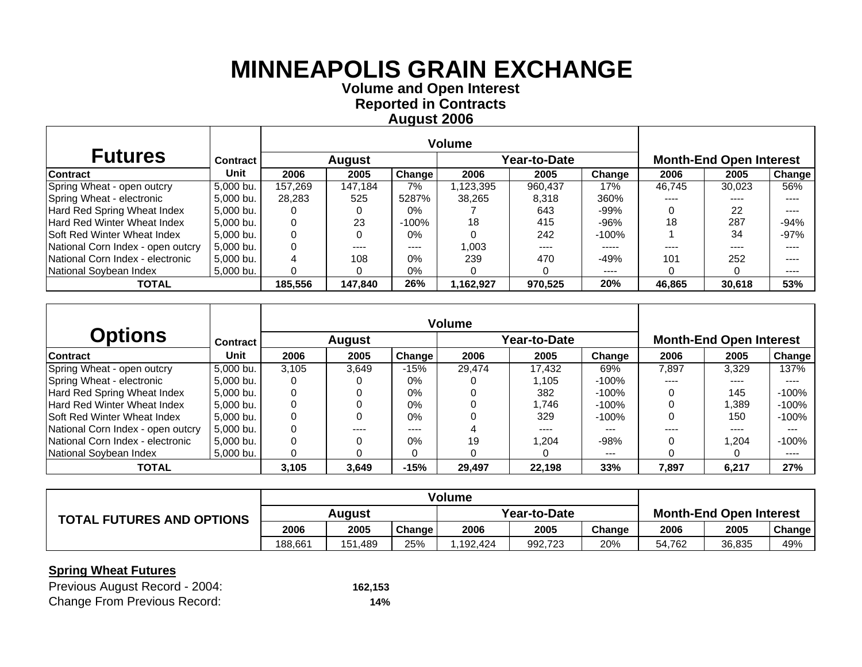**Volume and O pen Interest Re ported in Contracts A u gust 2006**

| <b>Futures</b>                     | <b>Contract</b> |         | <b>August</b> |          |           | Year-to-Date |           |        | <b>Month-End Open Interest</b> |               |
|------------------------------------|-----------------|---------|---------------|----------|-----------|--------------|-----------|--------|--------------------------------|---------------|
| <b>Contract</b>                    | Unit            | 2006    | 2005          | Change   | 2006      | 2005         | Change    | 2006   | 2005                           | <b>Change</b> |
| Spring Wheat - open outcry         | 5.000 bu.       | 157.269 | 147.184       | 7%       | ,123,395  | 960,437      | 17%       | 46.745 | 30.023                         | 56%           |
| Spring Wheat - electronic          | 5,000 bu.       | 28.283  | 525           | 5287%    | 38.265    | 8,318        | 360%      | ----   |                                | ----          |
| Hard Red Spring Wheat Index        | 5,000 bu.       |         |               | $0\%$    |           | 643          | $-99%$    |        | 22                             | ----          |
| Hard Red Winter Wheat Index        | 5.000 bu.       |         | 23            | $-100\%$ | 18        | 415          | $-96%$    | 18     | 287                            | $-94%$        |
| <b>Soft Red Winter Wheat Index</b> | 5,000 bu.       |         | 0             | $0\%$    |           | 242          | $-100\%$  |        | 34                             | $-97%$        |
| National Corn Index - open outcry  | 5.000 bu.       |         | ----          | ----     | 1.003     | ----         | -----     | ----   | ----                           | ----          |
| National Corn Index - electronic   | 5,000 bu.       |         | 108           | $0\%$    | 239       | 470          | $-49%$    | 101    | 252                            | ----          |
| National Soybean Index             | 5,000 bu.       |         |               | 0%       |           |              | $- - - -$ |        |                                | $\cdots$      |
| <b>TOTAL</b>                       |                 | 185,556 | 147,840       | 26%      | 1,162,927 | 970,525      | 20%       | 46,865 | 30,618                         | 53%           |

|                                    |                 |       |               |        | <b>Volume</b> |              |         |       |                                |               |
|------------------------------------|-----------------|-------|---------------|--------|---------------|--------------|---------|-------|--------------------------------|---------------|
| <b>Options</b>                     | <b>Contract</b> |       | <b>August</b> |        |               | Year-to-Date |         |       | <b>Month-End Open Interest</b> |               |
| <b>Contract</b>                    | <b>Unit</b>     | 2006  | 2005          | Change | 2006          | 2005         | Change  | 2006  | 2005                           | <b>Change</b> |
| Spring Wheat - open outcry         | 5,000 bu.       | 3.105 | 3.649         | $-15%$ | 29.474        | 17.432       | 69%     | 7.897 | 3.329                          | 137%          |
| Spring Wheat - electronic          | 5,000 bu.       |       |               | 0%     |               | 1.105        | $-100%$ | ----  | ----                           | ----          |
| Hard Red Spring Wheat Index        | 5.000 bu.       |       | 0             | $0\%$  |               | 382          | -100%   |       | 145                            | $-100\%$      |
| Hard Red Winter Wheat Index        | 5.000 bu.       |       | 0             | 0%     |               | 1.746        | -100%   |       | .389                           | $-100\%$      |
| <b>Soft Red Winter Wheat Index</b> | 5.000 bu.       |       | 0             | $0\%$  |               | 329          | $-100%$ |       | 150                            | -100%         |
| National Corn Index - open outcry  | 5,000 bu.       |       | ----          | ----   |               | ----         | $- - -$ |       | ----                           |               |
| National Corn Index - electronic   | 5.000 bu.       |       | 0             | 0%     | 19            | 1.204        | $-98%$  |       | 204. ا                         | $-100\%$      |
| National Soybean Index             | 5,000 bu.       |       | O             |        |               |              | $---$   |       |                                | ----          |
| <b>TOTAL</b>                       |                 | 3,105 | 3,649         | $-15%$ | 29,497        | 22,198       | 33%     | 7,897 | 6,217                          | 27%           |

|                                  | <b>Volume</b> |         |        |              |         |        |                                |        |        |
|----------------------------------|---------------|---------|--------|--------------|---------|--------|--------------------------------|--------|--------|
| <b>TOTAL FUTURES AND OPTIONS</b> | Auaust        |         |        | Year-to-Date |         |        | <b>Month-End Open Interest</b> |        |        |
|                                  | 2006          | 2005    | Change | 2006         | 2005    | Change | 2006                           | 2005   | Change |
|                                  | 188.661       | 151.489 | 25%    | .192.424     | 992,723 | 20%    | 54.762                         | 36,835 | 49%    |

| Previous August Record - 2004:      | 162,153 |
|-------------------------------------|---------|
| <b>Change From Previous Record:</b> | 14%     |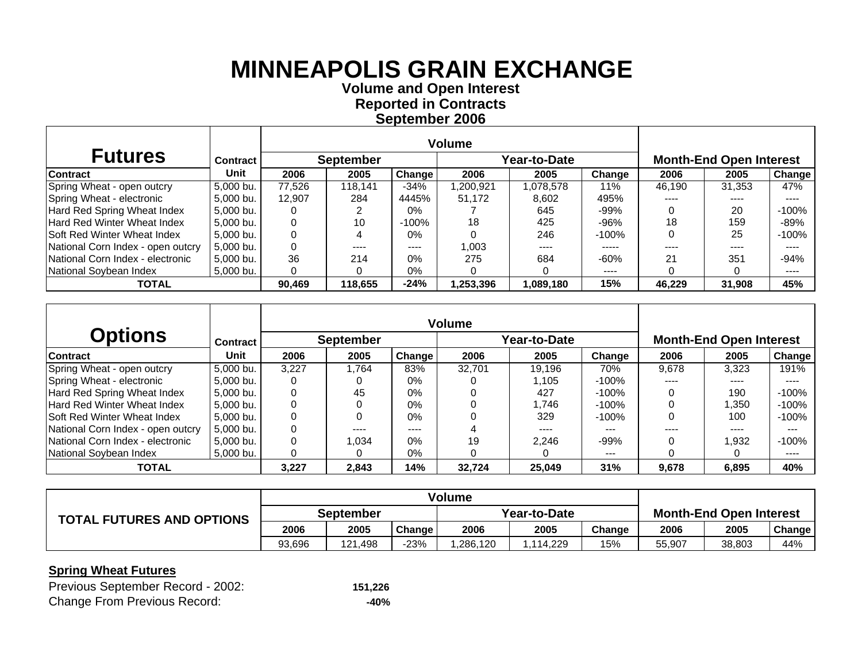**Volume and O pen Interest Re ported in Contracts Se ptember 2006**

| <b>Futures</b>                     | <b>Contract</b> |        | <b>September</b> |        |           | Year-to-Date |           |        | <b>Month-End Open Interest</b> |         |  |  |
|------------------------------------|-----------------|--------|------------------|--------|-----------|--------------|-----------|--------|--------------------------------|---------|--|--|
| Contract                           | Unit            | 2006   | 2005             | Change | 2006      | 2005         | Change    | 2006   | 2005                           | Change  |  |  |
| Spring Wheat - open outcry         | 5.000 bu.       | 77.526 | 118.141          | $-34%$ | ,200,921  | 1,078,578    | 11%       | 46.190 | 31.353                         | 47%     |  |  |
| Spring Wheat - electronic          | 5,000 bu.       | 12.907 | 284              | 4445%  | 51,172    | 8,602        | 495%      | ----   | ----                           | ----    |  |  |
| Hard Red Spring Wheat Index        | 5,000 bu.       |        |                  | $0\%$  |           | 645          | $-99%$    |        | 20                             | $-100%$ |  |  |
| Hard Red Winter Wheat Index        | 5,000 bu.       |        | 10               | -100%  | 18        | 425          | $-96%$    | 18     | 159                            | -89%    |  |  |
| <b>Soft Red Winter Wheat Index</b> | 5,000 bu.       |        | 4                | $0\%$  |           | 246          | $-100\%$  |        | 25                             | -100%   |  |  |
| National Corn Index - open outcry  | 5.000 bu.       |        | ----             | ----   | 1,003     | ----         | -----     | ----   | ----                           | ----    |  |  |
| National Corn Index - electronic   | 5,000 bu.       | 36     | 214              | $0\%$  | 275       | 684          | $-60%$    | 21     | 351                            | $-94%$  |  |  |
| National Soybean Index             | 5,000 bu.       |        |                  | 0%     |           |              | $- - - -$ |        |                                | ----    |  |  |
| <b>TOTAL</b>                       |                 | 90,469 | 118,655          | $-24%$ | 1,253,396 | 1,089,180    | 15%       | 46,229 | 31,908                         | 45%     |  |  |

|                                    |                 |       |                  |        | <b>Volume</b> |              |          |       |                                |         |
|------------------------------------|-----------------|-------|------------------|--------|---------------|--------------|----------|-------|--------------------------------|---------|
| <b>Options</b>                     | <b>Contract</b> |       | <b>September</b> |        |               | Year-to-Date |          |       | <b>Month-End Open Interest</b> |         |
| <b>Contract</b>                    | Unit            | 2006  | 2005             | Change | 2006          | 2005         | Change   | 2006  | 2005                           | Change  |
| Spring Wheat - open outcry         | 5,000 bu.       | 3.227 | 1.764            | 83%    | 32.701        | 19.196       | 70%      | 9.678 | 3.323                          | 191%    |
| Spring Wheat - electronic          | 5,000 bu.       |       |                  | 0%     |               | l.105        | -100%    | $---$ | ----                           | ----    |
| Hard Red Spring Wheat Index        | 5,000 bu.       |       | 45               | $0\%$  |               | 427          | -100%    |       | 190                            | $-100%$ |
| Hard Red Winter Wheat Index        | 5.000 bu.       |       | 0                | $0\%$  |               | .746         | $-100\%$ |       | 350. ا                         | $-100%$ |
| <b>Soft Red Winter Wheat Index</b> | 5,000 bu.       |       | 0                | $0\%$  |               | 329          | $-100%$  |       | 100                            | $-100%$ |
| National Corn Index - open outcry  | 5.000 bu.       |       | ----             | ----   |               | ----         | ---      |       | ----                           | ---     |
| National Corn Index - electronic   | 5.000 bu.       |       | 1.034            | $0\%$  | 19            | 2.246        | $-99%$   |       | 1,932                          | $-100%$ |
| National Soybean Index             | 5.000 bu.       |       | $\Omega$         | $0\%$  |               |              | $--$     |       |                                | ----    |
| <b>TOTAL</b>                       |                 | 3.227 | 2.843            | 14%    | 32.724        | 25,049       | 31%      | 9,678 | 6.895                          | 40%     |

|                                  | <b>Volume</b>    |         |        |              |          |        |                                |        |        |
|----------------------------------|------------------|---------|--------|--------------|----------|--------|--------------------------------|--------|--------|
| <b>TOTAL FUTURES AND OPTIONS</b> | <b>September</b> |         |        | Year-to-Date |          |        | <b>Month-End Open Interest</b> |        |        |
|                                  | 2006             | 2005    | Change | 2006         | 2005     | Change | 2006                           | 2005   | Change |
|                                  | 93,696           | 121.498 | $-23%$ | .286,120     | .114.229 | 15%    | 55,907                         | 38,803 | 44%    |

| Previous September Record - 2002:   | 151,226 |
|-------------------------------------|---------|
| <b>Change From Previous Record:</b> | -40%    |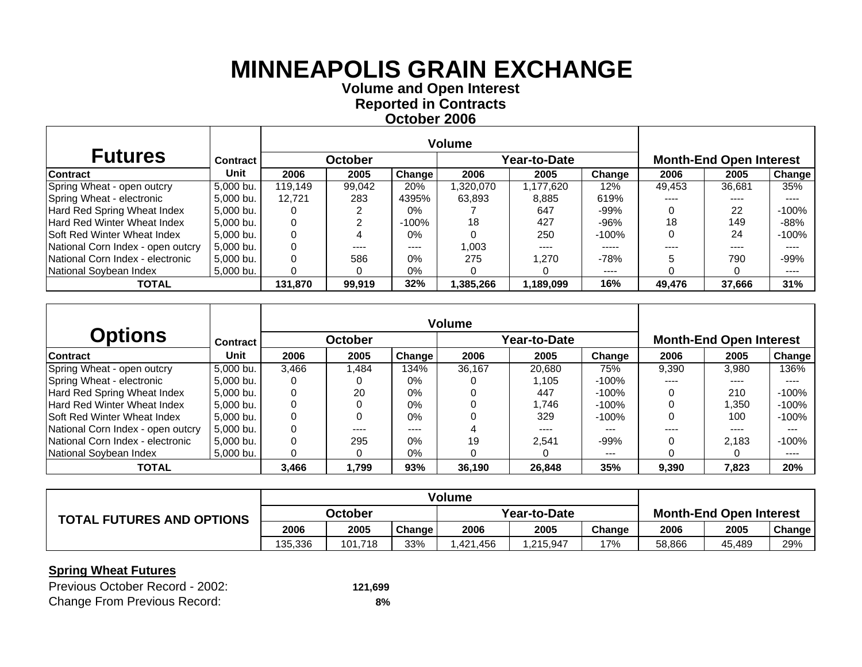**Volume and O pen Interest Re ported in Contracts October 2006**

| <b>Futures</b>                     | <b>Contract</b> |         | October |          |           | Year-to-Date | <b>Month-End Open Interest</b> |        |        |               |
|------------------------------------|-----------------|---------|---------|----------|-----------|--------------|--------------------------------|--------|--------|---------------|
| <b>Contract</b>                    | Unit            | 2006    | 2005    | Change   | 2006      | 2005         | Change                         | 2006   | 2005   | <b>Change</b> |
| Spring Wheat - open outcry         | 5.000 bu.       | 119.149 | 99,042  | 20%      | .320,070  | 1.177.620    | 12%                            | 49,453 | 36.681 | 35%           |
| Spring Wheat - electronic          | 5,000 bu.       | 12.721  | 283     | 4395%    | 63.893    | 8,885        | 619%                           |        | ----   |               |
| Hard Red Spring Wheat Index        | 5,000 bu.       |         |         | $0\%$    |           | 647          | $-99%$                         |        | 22     | $-100%$       |
| Hard Red Winter Wheat Index        | 5.000 bu.       |         |         | $-100\%$ | 18        | 427          | $-96%$                         | 18     | 149    | $-88%$        |
| <b>Soft Red Winter Wheat Index</b> | 5,000 bu.       |         |         | $0\%$    |           | 250          | $-100\%$                       |        | 24     | -100%         |
| National Corn Index - open outcry  | 5.000 bu.       |         | ----    | ----     | 1.003     | ----         | -----                          |        | ----   | ----          |
| National Corn Index - electronic   | 5,000 bu.       |         | 586     | $0\%$    | 275       | 1.270        | $-78%$                         |        | 790    | $-99%$        |
| National Soybean Index             | 5,000 bu.       |         |         | 0%       |           |              | $- - - -$                      |        |        | ----          |
| <b>TOTAL</b>                       |                 | 131,870 | 99,919  | 32%      | 1,385,266 | 1,189,099    | 16%                            | 49,476 | 37,666 | 31%           |

|                                    |           |       |                |        | <b>Volume</b> |              |          |                                |                   |               |
|------------------------------------|-----------|-------|----------------|--------|---------------|--------------|----------|--------------------------------|-------------------|---------------|
| <b>Options</b>                     | Contract  |       | <b>October</b> |        |               | Year-to-Date |          | <b>Month-End Open Interest</b> |                   |               |
| <b>Contract</b>                    | Unit      | 2006  | 2005           | Change | 2006          | 2005         | Change   | 2006                           | 2005              | <b>Change</b> |
| Spring Wheat - open outcry         | 5,000 bu. | 3.466 | .484           | 134%   | 36.167        | 20.680       | 75%      | 9.390                          | 3.980             | 136%          |
| Spring Wheat - electronic          | 5,000 bu. |       |                | $0\%$  |               | 1.105        | $-100\%$ | ----                           | ----              | ----          |
| Hard Red Spring Wheat Index        | 5.000 bu. |       | 20             | $0\%$  |               | 447          | -100%    | 0                              | 210               | $-100%$       |
| Hard Red Winter Wheat Index        | 5.000 bu. |       |                | $0\%$  |               | 1.746        | -100%    |                                | $\overline{.}350$ | $-100%$       |
| <b>Soft Red Winter Wheat Index</b> | 5.000 bu. |       |                | $0\%$  |               | 329          | $-100%$  | 0                              | 100               | $-100%$       |
| National Corn Index - open outcry  | 5.000 bu. |       | ----           | ----   |               | ----         | ---      |                                | ----              | ---           |
| National Corn Index - electronic   | 5.000 bu. |       | 295            | $0\%$  | 19            | 2.541        | $-99%$   |                                | 2.183             | $-100%$       |
| National Soybean Index             | 5.000 bu. |       | $\Omega$       | 0%     |               |              | $--$     |                                |                   | $---$         |
| <b>TOTAL</b>                       |           | 3,466 | 1,799          | 93%    | 36,190        | 26,848       | 35%      | 9,390                          | 7,823             | 20%           |

|                                  | <b>Volume</b> |         |        |              |          |        |                                |        |        |
|----------------------------------|---------------|---------|--------|--------------|----------|--------|--------------------------------|--------|--------|
| <b>TOTAL FUTURES AND OPTIONS</b> | October       |         |        | Year-to-Date |          |        | <b>Month-End Open Interest</b> |        |        |
|                                  | 2006          | 2005    | Change | 2006         | 2005     | Change | 2006                           | 2005   | Change |
|                                  | 135.336       | 101.718 | 33%    | .421.456     | .215,947 | 17%    | 58.866                         | 45.489 | 29%    |

| Previous October Record - 2002:     | 121.699 |
|-------------------------------------|---------|
| <b>Change From Previous Record:</b> | 8%      |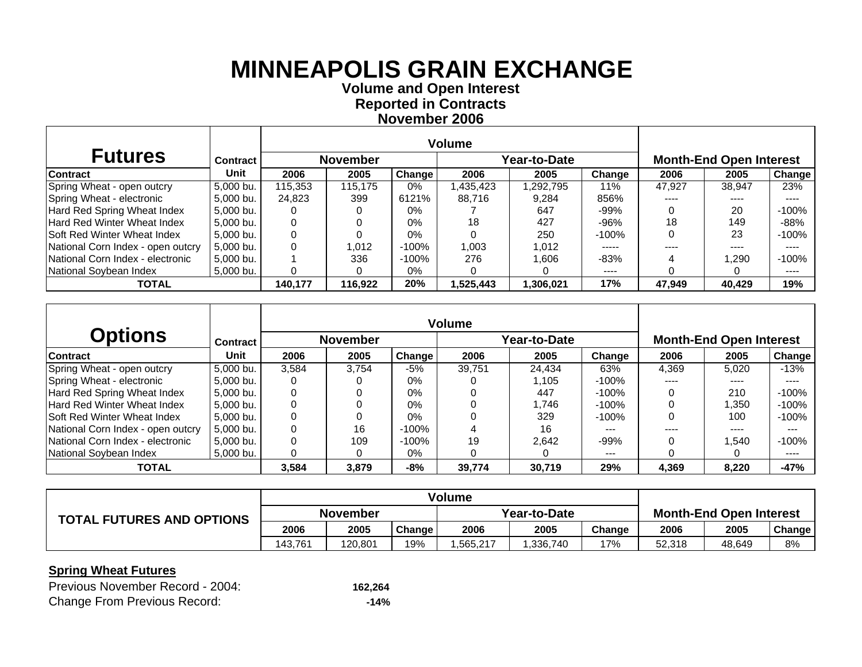**Volume and O pen Interest Re ported in Contracts November 2006**

| <b>Futures</b>                     | <b>Contract</b> |         | <b>November</b> |        |           | Year-to-Date |          | <b>Month-End Open Interest</b> |        |         |  |
|------------------------------------|-----------------|---------|-----------------|--------|-----------|--------------|----------|--------------------------------|--------|---------|--|
| <b>Contract</b>                    | Unit            | 2006    | 2005            | Change | 2006      | 2005         | Change   | 2006                           | 2005   | Change  |  |
| Spring Wheat - open outcry         | 5.000 bu.       | 115.353 | 115.175         | $0\%$  | .435,423  | .292,795     | 11%      | 47.927                         | 38.947 | 23%     |  |
| Spring Wheat - electronic          | 5,000 bu.       | 24,823  | 399             | 6121%  | 88.716    | 9.284        | 856%     |                                |        |         |  |
| Hard Red Spring Wheat Index        | 5,000 bu.       |         |                 | $0\%$  |           | 647          | $-99%$   |                                | 20     | $-100%$ |  |
| Hard Red Winter Wheat Index        | 5,000 bu.       |         |                 | $0\%$  | 18        | 427          | -96%     | 18                             | 149    | $-88%$  |  |
| <b>Soft Red Winter Wheat Index</b> | 5,000 bu.       |         |                 | $0\%$  |           | 250          | -100%    |                                | 23     | -100%   |  |
| National Corn Index - open outcry  | 5.000 bu.       |         | 1.012           | -100%  | 1,003     | 1,012        | -----    | ----                           | ----   | ----    |  |
| National Corn Index - electronic   | 5,000 bu.       |         | 336             | -100%  | 276       | 1.606        | $-83%$   |                                | ,290   | $-100%$ |  |
| National Soybean Index             | 5,000 bu.       |         |                 | 0%     |           |              | $\cdots$ |                                |        | ----    |  |
| <b>TOTAL</b>                       |                 | 140,177 | 116,922         | 20%    | 1,525,443 | 1,306,021    | 17%      | 47,949                         | 40,429 | 19%     |  |

|                                    |                 |       |                 |        | <b>Volume</b> |                     |          |                                |        |         |  |
|------------------------------------|-----------------|-------|-----------------|--------|---------------|---------------------|----------|--------------------------------|--------|---------|--|
| <b>Options</b>                     | <b>Contract</b> |       | <b>November</b> |        |               | <b>Year-to-Date</b> |          | <b>Month-End Open Interest</b> |        |         |  |
| <b>Contract</b>                    | Unit            | 2006  | 2005            | Change | 2006          | 2005                | Change   | 2006                           | 2005   | Change  |  |
| Spring Wheat - open outcry         | 5,000 bu.       | 3.584 | 3.754           | $-5%$  | 39.751        | 24.434              | 63%      | 4.369                          | 5.020  | -13%    |  |
| Spring Wheat - electronic          | 5,000 bu.       |       |                 | 0%     |               | l.105               | -100%    | $- - - -$                      | ----   | ----    |  |
| Hard Red Spring Wheat Index        | 5.000 bu.       | 0     | 0               | $0\%$  |               | 447                 | -100%    |                                | 210    | $-100%$ |  |
| Hard Red Winter Wheat Index        | 5.000 bu.       |       |                 | $0\%$  |               | .746                | -100%    |                                | 350. ا | $-100%$ |  |
| <b>Soft Red Winter Wheat Index</b> | 5.000 bu.       |       | 0               | $0\%$  |               | 329                 | $-100\%$ |                                | 100    | $-100%$ |  |
| National Corn Index - open outcry  | 5.000 bu.       | 0     | 16              | -100%  |               | 16                  |          |                                | ----   | $-- -$  |  |
| National Corn Index - electronic   | 5.000 bu.       |       | 109             | -100%  | 19            | 2.642               | $-99%$   |                                | 540. ا | $-100%$ |  |
| National Soybean Index             | 5,000 bu.       |       | 0               | $0\%$  |               |                     | $--$     |                                |        | ----    |  |
| <b>TOTAL</b>                       |                 | 3,584 | 3,879           | $-8%$  | 39,774        | 30,719              | 29%      | 4,369                          | 8,220  | $-47%$  |  |

| <b>TOTAL FUTURES AND OPTIONS</b> | <b>November</b> |         |        | Year-to-Date |          |        | <b>Month-End Open Interest</b> |        |        |
|----------------------------------|-----------------|---------|--------|--------------|----------|--------|--------------------------------|--------|--------|
|                                  | 2006            | 2005    | Change | 2006         | 2005     | Change | 2006                           | 2005   | Change |
|                                  | 143.761         | 120.801 | 19%    | .565,217     | .336,740 | 17%    | 52.318                         | 48.649 | 8%     |

| Previous November Record - 2004:    | 162.264 |
|-------------------------------------|---------|
| <b>Change From Previous Record:</b> | $-14%$  |